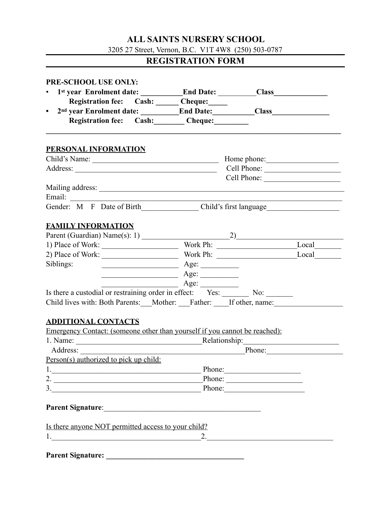## **ALL SAINTS NURSERY SCHOOL**

3205 27 Street, Vernon, B.C. V1T 4W8 (250) 503-0787

# **REGISTRATION FORM**

| PRE-SCHOOL USE ONLY:                                                                                           |                                   |        |  |
|----------------------------------------------------------------------------------------------------------------|-----------------------------------|--------|--|
|                                                                                                                |                                   |        |  |
| Registration fee: Cash: Cheque:                                                                                |                                   |        |  |
| $\bullet$                                                                                                      |                                   |        |  |
| Registration fee: Cash: Cheque:                                                                                |                                   |        |  |
| PERSONAL INFORMATION                                                                                           |                                   |        |  |
|                                                                                                                |                                   |        |  |
|                                                                                                                |                                   |        |  |
|                                                                                                                |                                   |        |  |
|                                                                                                                |                                   |        |  |
| Email:                                                                                                         |                                   |        |  |
|                                                                                                                |                                   |        |  |
|                                                                                                                |                                   |        |  |
| <b>FAMILY INFORMATION</b>                                                                                      |                                   |        |  |
|                                                                                                                |                                   |        |  |
|                                                                                                                |                                   |        |  |
|                                                                                                                |                                   |        |  |
| Siblings:<br>$\overline{\phantom{a}}$ Age:                                                                     |                                   |        |  |
| $\overline{\phantom{a}}$ Age:                                                                                  |                                   |        |  |
|                                                                                                                | $\overline{A}$ ge: $\overline{A}$ |        |  |
| Is there a custodial or restraining order in effect: Yes: No: No:                                              |                                   |        |  |
| Child lives with: Both Parents: __Mother: __Father: ___If other, name: __________                              |                                   |        |  |
|                                                                                                                |                                   |        |  |
| <b>ADDITIONAL CONTACTS</b>                                                                                     |                                   |        |  |
| Emergency Contact: (someone other than yourself if you cannot be reached):                                     |                                   |        |  |
|                                                                                                                |                                   |        |  |
|                                                                                                                |                                   | Phone: |  |
| Person(s) authorized to pick up child:                                                                         |                                   |        |  |
|                                                                                                                | Phone:                            |        |  |
| 2. $\overline{\phantom{a}}$                                                                                    | Phone:                            |        |  |
| $\overline{\mathbf{3}}$ .                                                                                      |                                   | Phone: |  |
|                                                                                                                |                                   |        |  |
| Parent Signature: 1988 and 2008 and 2008 and 2008 and 2008 and 2008 and 2008 and 2008 and 2008 and 2008 and 20 |                                   |        |  |
|                                                                                                                |                                   |        |  |
|                                                                                                                |                                   |        |  |
| Is there anyone NOT permitted access to your child?                                                            |                                   | 2.     |  |

**Parent Signature: \_\_\_\_\_\_\_\_\_\_\_\_\_\_\_\_\_\_\_\_\_\_\_\_\_\_\_\_\_\_\_\_\_\_\_\_**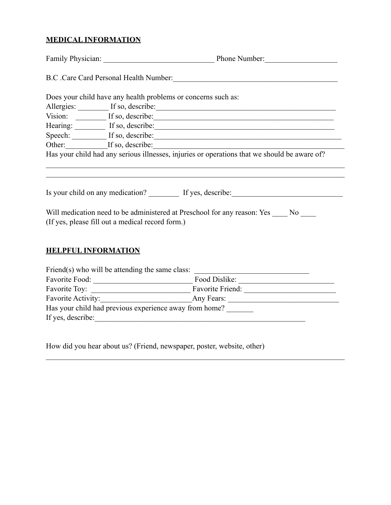## **MEDICAL INFORMATION**

|                            | Does your child have any health problems or concerns such as:                                                                                                                                                                  |  |  |  |
|----------------------------|--------------------------------------------------------------------------------------------------------------------------------------------------------------------------------------------------------------------------------|--|--|--|
|                            | Allergies: If so, describe: If so exercise and the set of the set of the set of the set of the set of the set of the set of the set of the set of the set of the set of the set of the set of the set of the set of the set of |  |  |  |
|                            | Vision: <u>If so, describe:</u> If so escribe:                                                                                                                                                                                 |  |  |  |
|                            | Hearing: If so, describe: If so exercises and the set of solution of the set of solution of the set of solution of the set of set of set of set of set of set of set of set of set of set of set of set of set of set of set o |  |  |  |
|                            | Speech: If so, describe: If so exercise:                                                                                                                                                                                       |  |  |  |
|                            | Other: If so, describe:                                                                                                                                                                                                        |  |  |  |
|                            | Has your child had any serious illnesses, injuries or operations that we should be aware of?                                                                                                                                   |  |  |  |
|                            | Is your child on any medication? If yes, describe:<br>Will medication need to be administered at Preschool for any reason: Yes _____ No ____<br>(If yes, please fill out a medical record form.)                               |  |  |  |
| <b>HELPFUL INFORMATION</b> |                                                                                                                                                                                                                                |  |  |  |
|                            | Friend(s) who will be attending the same class: $\frac{ }{ }$<br><u> 1989 - Johann John Stoff, deutscher Stoffen und der Stoffen und der Stoffen und der Stoffen und der Stoffen un</u>                                        |  |  |  |
|                            |                                                                                                                                                                                                                                |  |  |  |
|                            |                                                                                                                                                                                                                                |  |  |  |
|                            |                                                                                                                                                                                                                                |  |  |  |
|                            | Has your child had previous experience away from home?                                                                                                                                                                         |  |  |  |

 $\mathcal{L}_\mathcal{L} = \{ \mathcal{L}_\mathcal{L} = \{ \mathcal{L}_\mathcal{L} = \{ \mathcal{L}_\mathcal{L} = \{ \mathcal{L}_\mathcal{L} = \{ \mathcal{L}_\mathcal{L} = \{ \mathcal{L}_\mathcal{L} = \{ \mathcal{L}_\mathcal{L} = \{ \mathcal{L}_\mathcal{L} = \{ \mathcal{L}_\mathcal{L} = \{ \mathcal{L}_\mathcal{L} = \{ \mathcal{L}_\mathcal{L} = \{ \mathcal{L}_\mathcal{L} = \{ \mathcal{L}_\mathcal{L} = \{ \mathcal{L}_\mathcal{$ 

If yes, describe:

How did you hear about us? (Friend, newspaper, poster, website, other)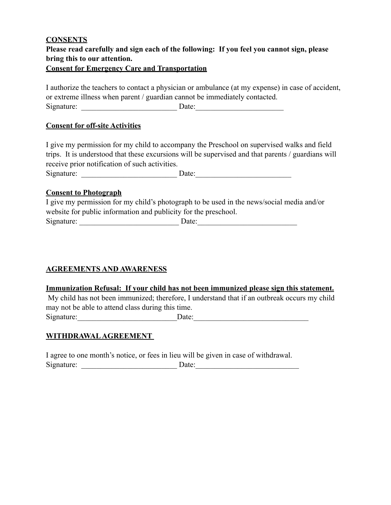### **CONSENTS Please read carefully and sign each of the following: If you feel you cannot sign, please bring this to our attention. Consent for Emergency Care and Transportation**

I authorize the teachers to contact a physician or ambulance (at my expense) in case of accident, or extreme illness when parent / guardian cannot be immediately contacted. Signature: \_\_\_\_\_\_\_\_\_\_\_\_\_\_\_\_\_\_\_\_\_\_\_\_\_ Date:\_\_\_\_\_\_\_\_\_\_\_\_\_\_\_\_\_\_\_\_\_\_\_

#### **Consent for off-site Activities**

I give my permission for my child to accompany the Preschool on supervised walks and field trips. It is understood that these excursions will be supervised and that parents / guardians will receive prior notification of such activities.

Signature: \_\_\_\_\_\_\_\_\_\_\_\_\_\_\_\_\_\_\_\_\_\_\_\_\_ Date:\_\_\_\_\_\_\_\_\_\_\_\_\_\_\_\_\_\_\_\_\_\_\_\_\_

#### **Consent to Photograph**

I give my permission for my child's photograph to be used in the news/social media and/or website for public information and publicity for the preschool. Signature: \_\_\_\_\_\_\_\_\_\_\_\_\_\_\_\_\_\_\_\_\_\_\_\_\_\_ Date:\_\_\_\_\_\_\_\_\_\_\_\_\_\_\_\_\_\_\_\_\_\_\_\_\_\_

#### **AGREEMENTS AND AWARENESS**

#### **Immunization Refusal: If your child has not been immunized please sign this statement.**

 My child has not been immunized; therefore, I understand that if an outbreak occurs my child may not be able to attend class during this time. Signature:\_\_\_\_\_\_\_\_\_\_\_\_\_\_\_\_\_\_\_\_\_\_\_\_\_\_Date:\_\_\_\_\_\_\_\_\_\_\_\_\_\_\_\_\_\_\_\_\_\_\_\_\_\_\_\_\_\_

#### **WITHDRAWAL AGREEMENT**

I agree to one month's notice, or fees in lieu will be given in case of withdrawal. Signature: \_\_\_\_\_\_\_\_\_\_\_\_\_\_\_\_\_\_\_\_\_\_\_\_\_ Date:\_\_\_\_\_\_\_\_\_\_\_\_\_\_\_\_\_\_\_\_\_\_\_\_\_\_\_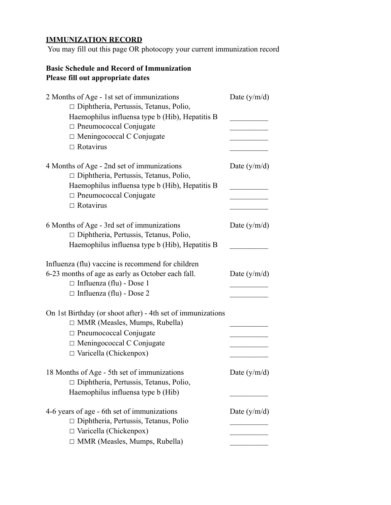## **IMMUNIZATION RECORD**

You may fill out this page OR photocopy your current immunization record

## **Basic Schedule and Record of Immunization Please fill out appropriate dates**

| 2 Months of Age - 1st set of immunizations<br>□ Diphtheria, Pertussis, Tetanus, Polio, | Date $(y/m/d)$ |
|----------------------------------------------------------------------------------------|----------------|
| Haemophilus influensa type b (Hib), Hepatitis B                                        |                |
| $\Box$ Pneumococcal Conjugate                                                          |                |
| □ Meningococcal C Conjugate                                                            |                |
| $\Box$ Rotavirus                                                                       |                |
| 4 Months of Age - 2nd set of immunizations<br>□ Diphtheria, Pertussis, Tetanus, Polio, | Date $(y/m/d)$ |
| Haemophilus influensa type b (Hib), Hepatitis B                                        |                |
| □ Pneumococcal Conjugate                                                               |                |
| $\Box$ Rotavirus                                                                       |                |
| 6 Months of Age - 3rd set of immunizations                                             | Date $(y/m/d)$ |
| $\Box$ Diphtheria, Pertussis, Tetanus, Polio,                                          |                |
| Haemophilus influensa type b (Hib), Hepatitis B                                        |                |
| Influenza (flu) vaccine is recommend for children                                      |                |
| 6-23 months of age as early as October each fall.                                      | Date $(y/m/d)$ |
| $\Box$ Influenza (flu) - Dose 1                                                        |                |
| $\Box$ Influenza (flu) - Dose 2                                                        |                |
| On 1st Birthday (or shoot after) - 4th set of immunizations                            |                |
| $\Box$ MMR (Measles, Mumps, Rubella)                                                   |                |
| $\Box$ Pneumococcal Conjugate                                                          |                |
| $\Box$ Meningococcal C Conjugate                                                       |                |
| $\Box$ Varicella (Chickenpox)                                                          |                |
| 18 Months of Age - 5th set of immunizations                                            | Date $(y/m/d)$ |
| □ Diphtheria, Pertussis, Tetanus, Polio,                                               |                |
| Haemophilus influensa type b (Hib)                                                     |                |
| 4-6 years of age - 6th set of immunizations                                            | Date $(y/m/d)$ |
| $\Box$ Diphtheria, Pertussis, Tetanus, Polio                                           |                |
| Varicella (Chickenpox)                                                                 |                |
| MMR (Measles, Mumps, Rubella)                                                          |                |